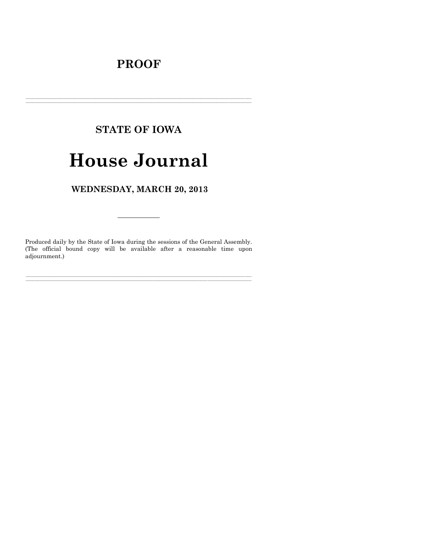# **PROOF**

# **STATE OF IOWA**

# **House Journal**

## WEDNESDAY, MARCH 20, 2013

Produced daily by the State of Iowa during the sessions of the General Assembly. (The official bound copy will be available after a reasonable time upon adjournment.)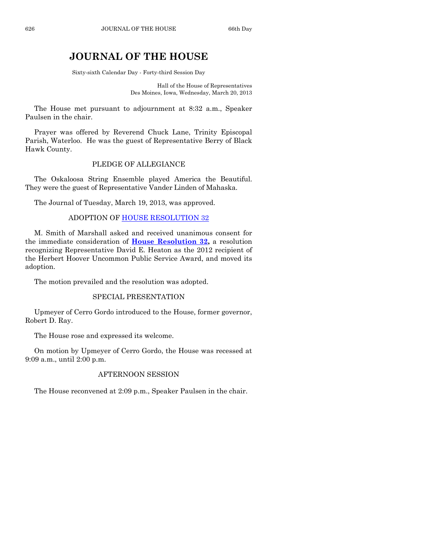## **JOURNAL OF THE HOUSE**

Sixty-sixth Calendar Day - Forty-third Session Day

Hall of the House of Representatives Des Moines, Iowa, Wednesday, March 20, 2013

The House met pursuant to adjournment at 8:32 a.m., Speaker Paulsen in the chair.

Prayer was offered by Reverend Chuck Lane, Trinity Episcopal Parish, Waterloo. He was the guest of Representative Berry of Black Hawk County.

#### PLEDGE OF ALLEGIANCE

The Oskaloosa String Ensemble played America the Beautiful. They were the guest of Representative Vander Linden of Mahaska.

The Journal of Tuesday, March 19, 2013, was approved.

#### ADOPTION OF [HOUSE RESOLUTION 32](http://coolice.legis.state.ia.us/Cool-ICE/default.asp?Category=billinfo&Service=Billbook&frame=1&GA=85&hbill=HR32)

M. Smith of Marshall asked and received unanimous consent for the immediate consideration of **[House Resolution 32,](http://coolice.legis.state.ia.us/Cool-ICE/default.asp?Category=billinfo&Service=Billbook&frame=1&GA=85&hbill=HR32)** a resolution recognizing Representative David E. Heaton as the 2012 recipient of the Herbert Hoover Uncommon Public Service Award, and moved its adoption.

The motion prevailed and the resolution was adopted.

#### SPECIAL PRESENTATION

Upmeyer of Cerro Gordo introduced to the House, former governor, Robert D. Ray.

The House rose and expressed its welcome.

On motion by Upmeyer of Cerro Gordo, the House was recessed at 9:09 a.m., until 2:00 p.m.

#### AFTERNOON SESSION

The House reconvened at 2:09 p.m., Speaker Paulsen in the chair.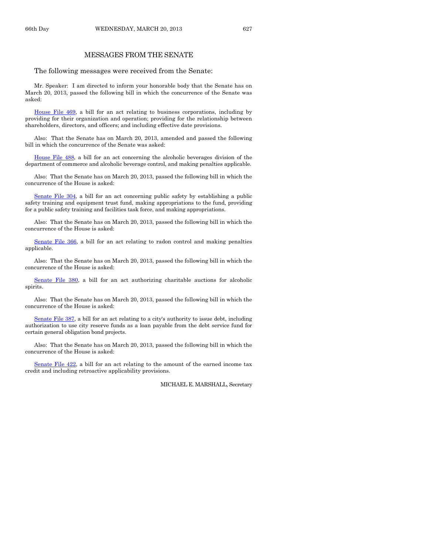#### MESSAGES FROM THE SENATE

The following messages were received from the Senate:

Mr. Speaker: I am directed to inform your honorable body that the Senate has on March 20, 2013, passed the following bill in which the concurrence of the Senate was asked:

[House File 469,](http://coolice.legis.state.ia.us/Cool-ICE/default.asp?Category=billinfo&Service=Billbook&frame=1&GA=85&hbill=HF469) a bill for an act relating to business corporations, including by providing for their organization and operation; providing for the relationship between shareholders, directors, and officers; and including effective date provisions.

Also: That the Senate has on March 20, 2013, amended and passed the following bill in which the concurrence of the Senate was asked:

[House File 488,](http://coolice.legis.state.ia.us/Cool-ICE/default.asp?Category=billinfo&Service=Billbook&frame=1&GA=85&hbill=HF488) a bill for an act concerning the alcoholic beverages division of the department of commerce and alcoholic beverage control, and making penalties applicable.

Also: That the Senate has on March 20, 2013, passed the following bill in which the concurrence of the House is asked:

[Senate File 304,](http://coolice.legis.state.ia.us/Cool-ICE/default.asp?Category=billinfo&Service=Billbook&frame=1&GA=85&hbill=SF304) a bill for an act concerning public safety by establishing a public safety training and equipment trust fund, making appropriations to the fund, providing for a public safety training and facilities task force, and making appropriations.

Also: That the Senate has on March 20, 2013, passed the following bill in which the concurrence of the House is asked:

[Senate File 366,](http://coolice.legis.state.ia.us/Cool-ICE/default.asp?Category=billinfo&Service=Billbook&frame=1&GA=85&hbill=SF366) a bill for an act relating to radon control and making penalties applicable.

Also: That the Senate has on March 20, 2013, passed the following bill in which the concurrence of the House is asked:

[Senate File 380,](http://coolice.legis.state.ia.us/Cool-ICE/default.asp?Category=billinfo&Service=Billbook&frame=1&GA=85&hbill=SF380) a bill for an act authorizing charitable auctions for alcoholic spirits.

Also: That the Senate has on March 20, 2013, passed the following bill in which the concurrence of the House is asked:

[Senate File 387,](http://coolice.legis.state.ia.us/Cool-ICE/default.asp?Category=billinfo&Service=Billbook&frame=1&GA=85&hbill=SF387) a bill for an act relating to a city's authority to issue debt, including authorization to use city reserve funds as a loan payable from the debt service fund for certain general obligation bond projects.

Also: That the Senate has on March 20, 2013, passed the following bill in which the concurrence of the House is asked:

[Senate File 422,](http://coolice.legis.state.ia.us/Cool-ICE/default.asp?Category=billinfo&Service=Billbook&frame=1&GA=85&hbill=SF422) a bill for an act relating to the amount of the earned income tax credit and including retroactive applicability provisions.

MICHAEL E. MARSHALL, Secretary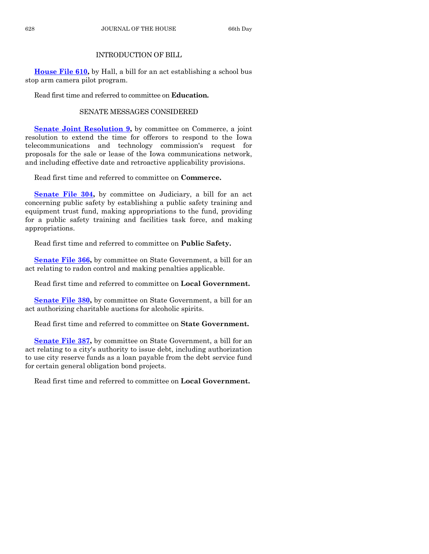#### INTRODUCTION OF BILL

**[House File 610,](http://coolice.legis.state.ia.us/Cool-ICE/default.asp?Category=billinfo&Service=Billbook&frame=1&GA=85&hbill=HF610)** by Hall, a bill for an act establishing a school bus stop arm camera pilot program.

Read first time and referred to committee on **Education.**

### SENATE MESSAGES CONSIDERED

**[Senate Joint Resolution 9,](http://coolice.legis.state.ia.us/Cool-ICE/default.asp?Category=billinfo&Service=Billbook&frame=1&GA=85&hbill=SJR9)** by committee on Commerce, a joint resolution to extend the time for offerors to respond to the Iowa telecommunications and technology commission's request for proposals for the sale or lease of the Iowa communications network, and including effective date and retroactive applicability provisions.

Read first time and referred to committee on **Commerce.**

**[Senate File 304,](http://coolice.legis.state.ia.us/Cool-ICE/default.asp?Category=billinfo&Service=Billbook&frame=1&GA=85&hbill=SF304)** by committee on Judiciary, a bill for an act concerning public safety by establishing a public safety training and equipment trust fund, making appropriations to the fund, providing for a public safety training and facilities task force, and making appropriations.

Read first time and referred to committee on **Public Safety.**

**[Senate File 366,](http://coolice.legis.state.ia.us/Cool-ICE/default.asp?Category=billinfo&Service=Billbook&frame=1&GA=85&hbill=SF366)** by committee on State Government, a bill for an act relating to radon control and making penalties applicable.

Read first time and referred to committee on **Local Government.**

**[Senate File 380,](http://coolice.legis.state.ia.us/Cool-ICE/default.asp?Category=billinfo&Service=Billbook&frame=1&GA=85&hbill=SF380)** by committee on State Government, a bill for an act authorizing charitable auctions for alcoholic spirits.

Read first time and referred to committee on **State Government.**

**[Senate File 387,](http://coolice.legis.state.ia.us/Cool-ICE/default.asp?Category=billinfo&Service=Billbook&frame=1&GA=85&hbill=SF387)** by committee on State Government, a bill for an act relating to a city's authority to issue debt, including authorization to use city reserve funds as a loan payable from the debt service fund for certain general obligation bond projects.

Read first time and referred to committee on **Local Government.**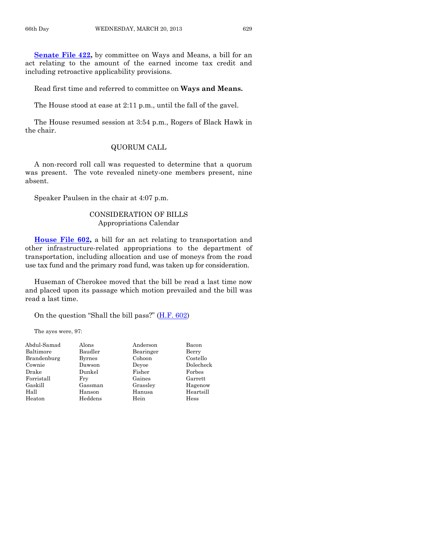**[Senate File 422,](http://coolice.legis.state.ia.us/Cool-ICE/default.asp?Category=billinfo&Service=Billbook&frame=1&GA=85&hbill=SF422)** by committee on Ways and Means, a bill for an act relating to the amount of the earned income tax credit and including retroactive applicability provisions.

Read first time and referred to committee on **Ways and Means.**

The House stood at ease at 2:11 p.m., until the fall of the gavel.

The House resumed session at 3:54 p.m., Rogers of Black Hawk in the chair.

#### QUORUM CALL

A non-record roll call was requested to determine that a quorum was present. The vote revealed ninety-one members present, nine absent.

Speaker Paulsen in the chair at 4:07 p.m.

#### CONSIDERATION OF BILLS Appropriations Calendar

**[House File 602,](http://coolice.legis.state.ia.us/Cool-ICE/default.asp?Category=billinfo&Service=Billbook&frame=1&GA=85&hbill=HF602)** a bill for an act relating to transportation and other infrastructure-related appropriations to the department of transportation, including allocation and use of moneys from the road use tax fund and the primary road fund, was taken up for consideration.

Huseman of Cherokee moved that the bill be read a last time now and placed upon its passage which motion prevailed and the bill was read a last time.

On the question "Shall the bill pass?"  $(H.F. 602)$  $(H.F. 602)$ 

The ayes were, 97:

| Abdul-Samad | Alons         | Anderson  | Bacon     |
|-------------|---------------|-----------|-----------|
| Baltimore   | Baudler       | Bearinger | Berry     |
| Brandenburg | <b>Byrnes</b> | Cohoon    | Costello  |
| Cownie      | Dawson        | Devoe     | Dolecheck |
| Drake       | Dunkel        | Fisher    | Forbes    |
| Forristall  | Frv           | Gaines    | Garrett   |
| Gaskill     | Gassman       | Grassley  | Hagenow   |
| Hall        | Hanson        | Hanusa    | Heartsill |
| Heaton      | Heddens       | Hein      | Hess      |
|             |               |           |           |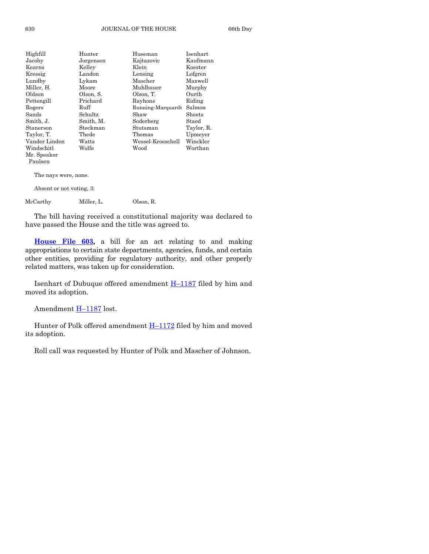| Highfill                 | Hunter    | Huseman           | Isenhart   |
|--------------------------|-----------|-------------------|------------|
| Jacoby                   | Jorgensen | Kajtazovic        | Kaufmann   |
| Kearns                   | Kelley    | Klein             | Koester    |
| Kressig                  | Landon    | Lensing           | Lofgren    |
| Lundby                   | Lykam     | Mascher           | Maxwell    |
| Miller, H.               | Moore     | Muhlbauer         | Murphy     |
| Oldson                   | Olson, S. | Olson, T.         | Ourth      |
| Pettengill               | Prichard  | Rayhons           | Riding     |
| Rogers                   | Ruff      | Running-Marquardt | Salmon     |
| Sands                    | Schultz   | Shaw              | Sheets     |
| Smith, J.                | Smith, M. | Soderberg         | Staed      |
| Stanerson                | Steckman  | Stutsman          | Taylor, R. |
| Taylor, T.               | Thede     | Thomas            | Upmeyer    |
| Vander Linden            | Watts     | Wessel-Kroeschell | Winckler   |
| Windschitl               | Wolfe     | Wood              | Worthan    |
| Mr. Speaker              |           |                   |            |
| Paulsen                  |           |                   |            |
| The nays were, none.     |           |                   |            |
| Absent or not voting, 3: |           |                   |            |

McCarthy Miller, L. Olson, R.

The bill having received a constitutional majority was declared to have passed the House and the title was agreed to.

**[House File 603,](http://coolice.legis.state.ia.us/Cool-ICE/default.asp?Category=billinfo&Service=Billbook&frame=1&GA=85&hbill=HF603)** a bill for an act relating to and making appropriations to certain state departments, agencies, funds, and certain other entities, providing for regulatory authority, and other properly related matters, was taken up for consideration.

Isenhart of Dubuque offered amendment H–[1187](http://coolice.legis.state.ia.us/Cool-ICE/default.asp?Category=billinfo&Service=Billbook&frame=1&GA=85&hbill=H1187) filed by him and moved its adoption.

```
Amendment H–1187 lost.
```
Hunter of Polk offered amendment  $H-1172$  $H-1172$  filed by him and moved its adoption.

Roll call was requested by Hunter of Polk and Mascher of Johnson.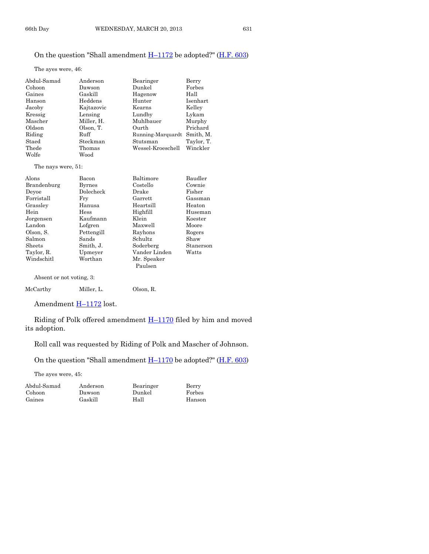The ayes were, 46:

| Abdul-Samad | Anderson   | Bearinger         | Berry      |
|-------------|------------|-------------------|------------|
| Cohoon      | Dawson     | Dunkel            | Forbes     |
| Gaines      | Gaskill    | Hagenow           | Hall       |
| Hanson      | Heddens    | Hunter            | Isenhart   |
| Jacoby      | Kajtazovic | Kearns            | Kelley     |
| Kressig     | Lensing    | Lundby            | Lykam      |
| Mascher     | Miller, H. | Muhlbauer         | Murphy     |
| Oldson      | Olson, T.  | Ourth             | Prichard   |
| Riding      | Ruff       | Running-Marquardt | Smith, M.  |
| Staed       | Steckman   | Stutsman          | Taylor, T. |
| Thede       | Thomas     | Wessel-Kroeschell | Winckler   |
| Wolfe       | Wood       |                   |            |

The nays were, 51:

| Alons                    | Bacon         | Baltimore      | Baudler   |
|--------------------------|---------------|----------------|-----------|
| Brandenburg              | <b>Byrnes</b> | Costello       | Cownie    |
| Devoe                    | Dolecheck     | Drake          | Fisher    |
| Forristall               | Frv           | $\rm{Garrett}$ | Gassman   |
| Grassley                 | Hanusa        | Heartsill      | Heaton    |
| Hein                     | Hess          | Highfill       | Huseman   |
| Jorgensen                | Kaufmann      | Klein          | Koester   |
| Landon                   | Lofgren       | Maxwell        | Moore     |
| Olson, S.                | Pettengill    | Rayhons        | Rogers    |
| Salmon                   | Sands         | Schultz        | Shaw      |
| <b>Sheets</b>            | Smith, J.     | Soderberg      | Stanerson |
| Taylor, R.               | Upmeyer       | Vander Linden  | Watts     |
| Windschitl               | Worthan       | Mr. Speaker    |           |
|                          |               | Paulsen        |           |
| Absent or not voting, 3: |               |                |           |

| $\rm{McCarthy}$ | Miller. L. | Olson, R. |
|-----------------|------------|-----------|
|                 |            |           |

Amendment H-[1172](http://coolice.legis.state.ia.us/Cool-ICE/default.asp?Category=billinfo&Service=Billbook&frame=1&GA=85&hbill=H1172) lost.

Riding of Polk offered amendment **H**-[1170](http://coolice.legis.state.ia.us/Cool-ICE/default.asp?Category=billinfo&Service=Billbook&frame=1&GA=85&hbill=H1170) filed by him and moved its adoption.

Roll call was requested by Riding of Polk and Mascher of Johnson.

On the question "Shall amendment  $H-1170$  $H-1170$  be adopted?" ( $H.F. 603$ )

The ayes were, 45:

| Abdul-Samad | Anderson | Bearinger | Berry  |
|-------------|----------|-----------|--------|
| Cohoon      | Dawson   | Dunkel    | Forbes |
| Gaines      | Gaskill  | Hall      | Hanson |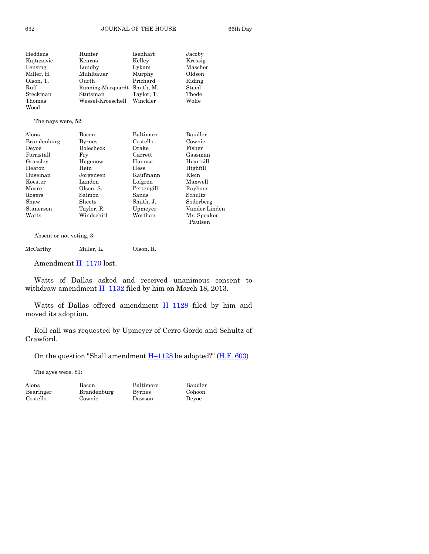| Heddens    | Hunter                      | Isenhart   | Jacoby  |
|------------|-----------------------------|------------|---------|
| Kajtazovic | Kearns                      | Kelley     | Kressig |
| Lensing    | Lundby                      | Lykam      | Mascher |
| Miller. H. | Muhlbauer                   | Murphy     | Oldson  |
| Olson, T.  | Ourth                       | Prichard   | Riding  |
| Ruff       | Running-Marquardt Smith, M. |            | Staed   |
| Steckman   | Stutsman                    | Taylor, T. | Thede   |
| Thomas     | Wessel-Kroeschell Winckler  |            | Wolfe   |
| Wood       |                             |            |         |

The nays were, 52:

| Bacon         | Baltimore   | Baudler       |
|---------------|-------------|---------------|
| <b>Byrnes</b> | Costello    | Cownie        |
| Dolecheck     | Drake       | Fisher        |
| Frv           | Garrett     | Gassman       |
| Hagenow       | Hanusa      | Heartsill     |
| Hein          | <b>Hess</b> | Highfill      |
| Jorgensen     | Kaufmann    | Klein         |
| Landon        | Lofgren     | Maxwell       |
| Olson, S.     | Pettengill  | Rayhons       |
| Salmon        | Sands       | Schultz       |
| Sheets        | Smith, J.   | Soderberg     |
| Taylor, R.    | Upmeyer     | Vander Linden |
| Windschitl    | Worthan     | Mr. Speaker   |
|               |             | Paulsen       |
|               |             |               |

Absent or not voting, 3:

| McCarthy | Miller, L. | Olson, R. |
|----------|------------|-----------|
|----------|------------|-----------|

Amendment H-[1170](http://coolice.legis.state.ia.us/Cool-ICE/default.asp?Category=billinfo&Service=Billbook&frame=1&GA=85&hbill=H1170) lost.

Watts of Dallas asked and received unanimous consent to withdraw amendment  $H-1132$  $H-1132$  filed by him on March 18, 2013.

Watts of Dallas offered amendment  $H-1128$  $H-1128$  filed by him and moved its adoption.

Roll call was requested by Upmeyer of Cerro Gordo and Schultz of Crawford.

On the question "Shall amendment  $H-1128$  $H-1128$  be adopted?" ( $H.F. 603$ )

The ayes were, 81:

| Alons     | Bacon       | Baltimore     | Baudler |
|-----------|-------------|---------------|---------|
| Bearinger | Brandenburg | <b>Byrnes</b> | Cohoon  |
| Costello  | Cownie      | Dawson        | Devoe   |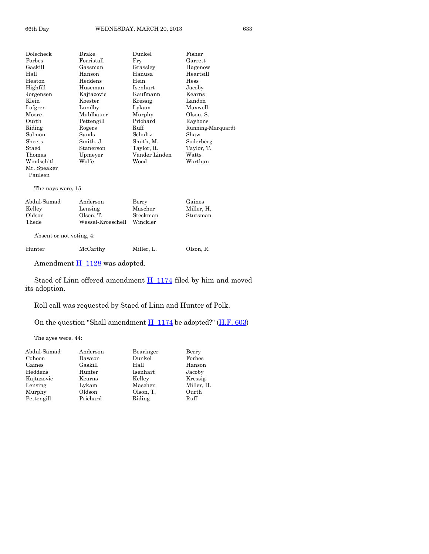| Dolecheck          | Drake      | Dunkel        | Fisher            |
|--------------------|------------|---------------|-------------------|
| Forbes             | Forristall | Fry           | Garrett           |
| Gaskill            | Gassman    | Grassley      | Hagenow           |
| Hall               | Hanson     | Hanusa        | Heartsill         |
| Heaton             | Heddens    | Hein          | Hess              |
| Highfill           | Huseman    | Isenhart      | Jacoby            |
| Jorgensen          | Kajtazovic | Kaufmann      | Kearns            |
| Klein              | Koester    | Kressig       | Landon            |
| Lofgren            | Lundby     | Lykam         | Maxwell           |
| Moore              | Muhlbauer  | Murphy        | Olson, S.         |
| Ourth              | Pettengill | Prichard      | Rayhons           |
| Riding             | Rogers     | Ruff          | Running-Marquardt |
| Salmon             | Sands      | Schultz       | Shaw              |
| Sheets             | Smith, J.  | Smith, M.     | Soderberg         |
| Staed              | Stanerson  | Taylor, R.    | Taylor, T.        |
| Thomas             | Upmeyer    | Vander Linden | Watts             |
| Windschitl         | Wolfe      | Wood          | Worthan           |
| Mr. Speaker        |            |               |                   |
| Paulsen            |            |               |                   |
| The nays were, 15: |            |               |                   |
| Abdul-Samad        | Anderson   | Berry         | Gaines            |

Kelley Lensing Mascher Miller, H. Oldson Olson, T. Steckman<br>Thede Wessel-Kroeschell Winckler Wessel-Kroeschell

Absent or not voting, 4:

Hunter McCarthy Miller, L. Olson, R.

Amendment  $H-1128$  $H-1128$  was adopted.

Staed of Linn offered amendment  $H-1174$  $H-1174$  filed by him and moved its adoption.

Roll call was requested by Staed of Linn and Hunter of Polk.

On the question "Shall amendment  $H-1174$  $H-1174$  be adopted?" ( $H.F. 603$ )

The ayes were, 44:

| Abdul-Samad | Anderson | Bearinger | Berry      |
|-------------|----------|-----------|------------|
| Cohoon      | Dawson   | Dunkel    | Forbes     |
| Gaines      | Gaskill  | Hall      | Hanson     |
| Heddens     | Hunter   | Isenhart  | Jacoby     |
| Kajtazovic  | Kearns   | Kelley    | Kressig    |
| Lensing     | Lykam    | Mascher   | Miller, H. |
| Murphy      | Oldson   | Olson, T. | Ourth      |
| Pettengill  | Prichard | Riding    | Ruff       |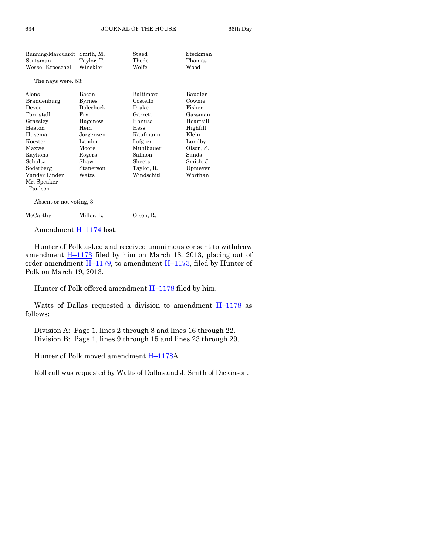| Running-Marquardt  | Smith, M.     | Staed      | Steckman  |
|--------------------|---------------|------------|-----------|
| Stutsman           | Taylor, T.    | Thede      | Thomas    |
| Wessel-Kroeschell  | Winckler      | Wolfe      | Wood      |
| The nays were, 53: |               |            |           |
| Alons              | Bacon         | Baltimore  | Baudler   |
| Brandenburg        | <b>Byrnes</b> | Costello   | Cownie    |
| Devoe              | Dolecheck     | Drake      | Fisher    |
| Forristall         | Fry           | Garrett    | Gassman   |
| Grassley           | Hagenow       | Hanusa     | Heartsill |
| Heaton             | Hein          | Hess       | Highfill  |
| Huseman            | Jorgensen     | Kaufmann   | Klein     |
| Koester            | Landon        | Lofgren    | Lundby    |
| Maxwell            | Moore         | Muhlbauer  | Olson, S. |
| Rayhons            | Rogers        | Salmon     | Sands     |
| Schultz            | Shaw          | Sheets     | Smith, J. |
| Soderberg          | Stanerson     | Taylor, R. | Upmeyer   |
| Vander Linden      | Watts         | Windschitl | Worthan   |
| Mr. Speaker        |               |            |           |
| Paulsen            |               |            |           |

Absent or not voting, 3:

McCarthy Miller, L. Olson, R.

Amendment  $H-1174$  $H-1174$  lost.

Hunter of Polk asked and received unanimous consent to withdraw amendment  $H-1173$  $H-1173$  filed by him on March 18, 2013, placing out of order amendment  $\underline{H-1179}$ , to amendment  $\underline{H-1173}$ , filed by Hunter of Polk on March 19, 2013.

Hunter of Polk offered amendment  $H-1178$  $H-1178$  filed by him.

Watts of Dallas requested a division to amendment  $H-1178$  $H-1178$  as follows:

Division A: Page 1, lines 2 through 8 and lines 16 through 22. Division B: Page 1, lines 9 through 15 and lines 23 through 29.

Hunter of Polk moved amendment **H**–[1178A](http://coolice.legis.state.ia.us/Cool-ICE/default.asp?Category=billinfo&Service=Billbook&frame=1&GA=85&hbill=H1178).

Roll call was requested by Watts of Dallas and J. Smith of Dickinson.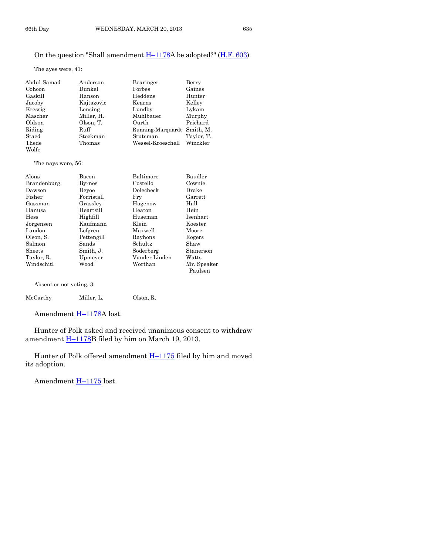#### On the question "Shall amendment  $H-1178A$  $H-1178A$  be adopted?" ( $H.F. 603$ )

The ayes were, 41:

| Abdul-Samad | Anderson   | Bearinger         | Berry      |
|-------------|------------|-------------------|------------|
| Cohoon      | Dunkel     | Forbes            | Gaines     |
| Gaskill     | Hanson     | Heddens           | Hunter     |
| Jacoby      | Kajtazovic | Kearns            | Kelley     |
| Kressig     | Lensing    | Lundby            | Lykam      |
| Mascher     | Miller, H. | Muhlbauer         | Murphy     |
| Oldson      | Olson, T.  | Ourth             | Prichard   |
| Riding      | Ruff       | Running-Marquardt | Smith, M.  |
| Staed       | Steckman   | Stutsman          | Taylor, T. |
| Thede       | Thomas     | Wessel-Kroeschell | Winckler   |
| Wolfe       |            |                   |            |

The nays were, 56:

| Alons       | Bacon         | Baltimore     | Baudler     |
|-------------|---------------|---------------|-------------|
| Brandenburg | <b>Byrnes</b> | Costello      | Cownie      |
| Dawson      | Devoe         | Dolecheck     | Drake       |
| Fisher      | Forristall    | Fry           | Garrett     |
| Gassman     | Grassley      | Hagenow       | Hall        |
| Hanusa      | Heartsill     | Heaton        | Hein        |
| <b>Hess</b> | Highfill      | Huseman       | Isenhart    |
| Jorgensen   | Kaufmann      | Klein         | Koester     |
| Landon      | Lofgren       | Maxwell       | Moore       |
| Olson, S.   | Pettengill    | Rayhons       | Rogers      |
| Salmon      | Sands         | Schultz       | Shaw        |
| Sheets      | Smith, J.     | Soderberg     | Stanerson   |
| Taylor, R.  | Upmeyer       | Vander Linden | Watts       |
| Windschitl  | Wood          | Worthan       | Mr. Speaker |
|             |               |               | Paulsen     |

Absent or not voting, 3:

| $\rm{McCarthy}$ | Miller. L. | Olson, R. |
|-----------------|------------|-----------|
|                 |            |           |

Amendment **H**-[1178A](http://coolice.legis.state.ia.us/Cool-ICE/default.asp?Category=billinfo&Service=Billbook&frame=1&GA=85&hbill=H1178) lost.

Hunter of Polk asked and received unanimous consent to withdraw amendment **H-[1178B](http://coolice.legis.state.ia.us/Cool-ICE/default.asp?Category=billinfo&Service=Billbook&frame=1&GA=85&hbill=H1178)** filed by him on March 19, 2013.

Hunter of Polk offered amendment **H**-[1175](http://coolice.legis.state.ia.us/Cool-ICE/default.asp?Category=billinfo&Service=Billbook&frame=1&GA=85&hbill=H1175) filed by him and moved its adoption.

Amendment H–[1175](http://coolice.legis.state.ia.us/Cool-ICE/default.asp?Category=billinfo&Service=Billbook&frame=1&GA=85&hbill=H1175) lost.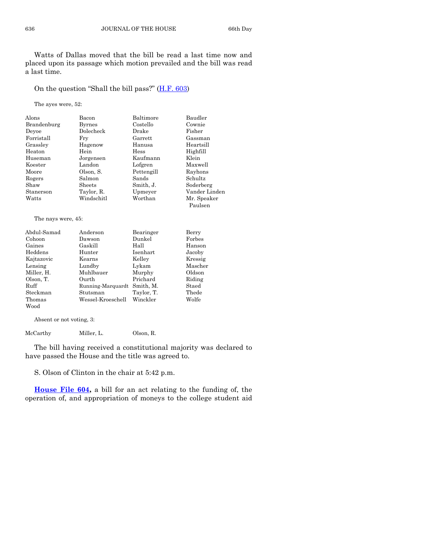Watts of Dallas moved that the bill be read a last time now and placed upon its passage which motion prevailed and the bill was read a last time.

On the question "Shall the bill pass?" ([H.F. 603\)](http://coolice.legis.state.ia.us/Cool-ICE/default.asp?Category=billinfo&Service=Billbook&frame=1&GA=85&hbill=HF603)

The ayes were, 52:

| Alons       | Bacon         | Baltimore   | Baudler       |
|-------------|---------------|-------------|---------------|
| Brandenburg | <b>Byrnes</b> | Costello    | Cownie        |
| Devoe       | Dolecheck     | Drake       | Fisher        |
| Forristall  | Fry           | Garrett     | Gassman       |
| Grassley    | Hagenow       | Hanusa      | Heartsill     |
| Heaton      | Hein          | <b>Hess</b> | Highfill      |
| Huseman     | Jorgensen     | Kaufmann    | Klein         |
| Koester     | Landon        | Lofgren     | Maxwell       |
| Moore       | Olson, S.     | Pettengill  | Rayhons       |
| Rogers      | Salmon        | Sands       | Schultz       |
| Shaw        | Sheets        | Smith, J.   | Soderberg     |
| Stanerson   | Taylor, R.    | Upmeyer     | Vander Linden |
| Watts       | Windschitl    | Worthan     | Mr. Speaker   |
|             |               |             | Paulsen       |

The nays were, 45:

| Abdul-Samad | Anderson          | Bearinger  | Berry   |
|-------------|-------------------|------------|---------|
| Cohoon      | Dawson            | Dunkel     | Forbes  |
| Gaines      | Gaskill           | Hall       | Hanson  |
| Heddens     | Hunter            | Isenhart   | Jacoby  |
| Kajtazovic  | Kearns            | Kelley     | Kressig |
| Lensing     | Lundby            | Lykam      | Mascher |
| Miller, H.  | Muhlbauer         | Murphy     | Oldson  |
| Olson, T.   | Ourth             | Prichard   | Riding  |
| Ruff        | Running-Marquardt | Smith, M.  | Staed   |
| Steckman    | Stutsman          | Taylor, T. | Thede   |
| Thomas      | Wessel-Kroeschell | Winckler   | Wolfe   |
| Wood        |                   |            |         |

Absent or not voting, 3:

McCarthy Miller, L. Olson, R.

The bill having received a constitutional majority was declared to have passed the House and the title was agreed to.

S. Olson of Clinton in the chair at 5:42 p.m.

**[House File 604,](http://coolice.legis.state.ia.us/Cool-ICE/default.asp?Category=billinfo&Service=Billbook&frame=1&GA=85&hbill=HF604)** a bill for an act relating to the funding of, the operation of, and appropriation of moneys to the college student aid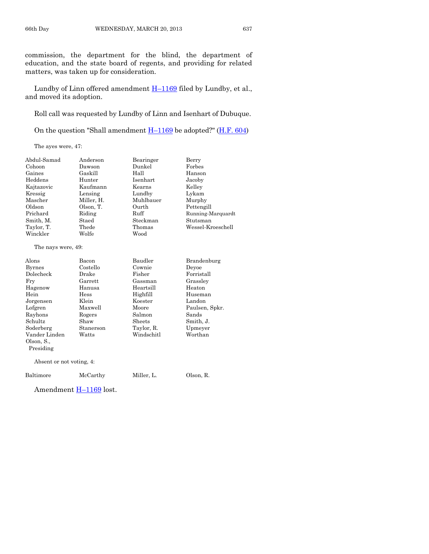commission, the department for the blind, the department of education, and the state board of regents, and providing for related matters, was taken up for consideration.

Lundby of Linn offered amendment  $H-1169$  $H-1169$  filed by Lundby, et al., and moved its adoption.

Roll call was requested by Lundby of Linn and Isenhart of Dubuque.

On the question "Shall amendment  $H-1169$  $H-1169$  be adopted?" ( $H.F. 604$ )

The ayes were, 47:

| Abdul-Samad              | Anderson   | Bearinger  | Berry             |
|--------------------------|------------|------------|-------------------|
| Cohoon                   | Dawson     | Dunkel     | Forbes            |
| Gaines                   | Gaskill    | Hall       | Hanson            |
| Heddens                  | Hunter     | Isenhart   | Jacoby            |
| Kajtazovic               | Kaufmann   | Kearns     | Kelley            |
| Kressig                  | Lensing    | Lundby     | Lykam             |
| Mascher                  | Miller, H. | Muhlbauer  | Murphy            |
| Oldson                   | Olson, T.  | Ourth      | Pettengill        |
| Prichard                 | Riding     | Ruff       | Running-Marquardt |
| Smith, M.                | Staed      | Steckman   | Stutsman          |
| Taylor, T.               | Thede      | Thomas     | Wessel-Kroeschell |
| Winckler                 | Wolfe      | Wood       |                   |
| The nays were, 49:       |            |            |                   |
| Alons                    | Bacon      | Baudler    | Brandenburg       |
| <b>Byrnes</b>            | Costello   | Cownie     | Deyoe             |
| Dolecheck                | Drake      | Fisher     | Forristall        |
| Fry                      | Garrett    | Gassman    | Grassley          |
| Hagenow                  | Hanusa     | Heartsill  | Heaton            |
| Hein                     | Hess       | Highfill   | Huseman           |
| Jorgensen                | Klein      | Koester    | Landon            |
| Lofgren                  | Maxwell    | Moore      | Paulsen, Spkr.    |
| Rayhons                  | Rogers     | Salmon     | Sands             |
| Schultz                  | Shaw       | Sheets     | Smith, J.         |
| Soderberg                | Stanerson  | Taylor, R. | Upmeyer           |
| Vander Linden            | Watts      | Windschitl | Worthan           |
| Olson, S.,               |            |            |                   |
| Presiding                |            |            |                   |
| Absent or not voting, 4: |            |            |                   |
| Baltimore                | McCarthy   | Miller, L. | Olson, R.         |

Amendment H–[1169](http://coolice.legis.state.ia.us/Cool-ICE/default.asp?Category=billinfo&Service=Billbook&frame=1&GA=85&hbill=H1169) lost.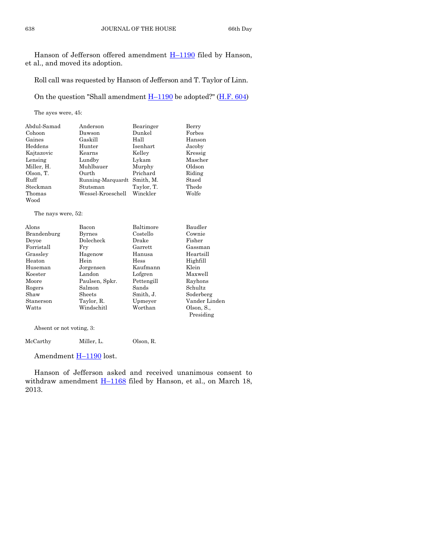Hanson of Jefferson offered amendment H-[1190](http://coolice.legis.state.ia.us/Cool-ICE/default.asp?Category=billinfo&Service=Billbook&frame=1&GA=85&hbill=H1190) filed by Hanson, et al., and moved its adoption.

Roll call was requested by Hanson of Jefferson and T. Taylor of Linn.

On the question "Shall amendment  $H-1190$  $H-1190$  be adopted?" ( $H.F. 604$ )

The ayes were, 45:

| Abdul-Samad | Anderson          | Bearinger  | Berry   |
|-------------|-------------------|------------|---------|
| Cohoon      | Dawson            | Dunkel     | Forbes  |
| Gaines      | Gaskill           | Hall       | Hanson  |
| Heddens     | Hunter            | Isenhart   | Jacoby  |
| Kajtazovic  | Kearns            | Kelley     | Kressig |
| Lensing     | Lundby            | Lykam      | Mascher |
| Miller, H.  | Muhlbauer         | Murphy     | Oldson  |
| Olson, T.   | Ourth             | Prichard   | Riding  |
| Ruff        | Running-Marquardt | Smith. M.  | Staed   |
| Steckman    | Stutsman          | Taylor, T. | Thede   |
| Thomas      | Wessel-Kroeschell | Winckler   | Wolfe   |
| Wood        |                   |            |         |

The nays were, 52:

| Alons       | Bacon          | Baltimore      | Baudler       |
|-------------|----------------|----------------|---------------|
| Brandenburg | <b>Byrnes</b>  | Costello       | Cownie        |
| Devoe       | Dolecheck      | Drake          | Fisher        |
| Forristall  | Frv            | $\rm{Garrett}$ | Gassman       |
| Grassley    | Hagenow        | Hanusa         | Heartsill     |
| Heaton      | Hein           | <b>Hess</b>    | Highfill      |
| Huseman     | Jorgensen      | Kaufmann       | Klein         |
| Koester     | Landon         | Lofgren        | Maxwell       |
| Moore       | Paulsen, Spkr. | Pettengill     | Rayhons       |
| Rogers      | Salmon         | Sands          | Schultz       |
| Shaw        | Sheets         | Smith, J.      | Soderberg     |
| Stanerson   | Taylor, R.     | Upmeyer        | Vander Linden |
| Watts       | Windschitl     | Worthan        | Olson, S.,    |
|             |                |                | Presiding     |
|             |                |                |               |

Absent or not voting, 3:

McCarthy Miller, L. Olson, R.

Amendment H-[1190](http://coolice.legis.state.ia.us/Cool-ICE/default.asp?Category=billinfo&Service=Billbook&frame=1&GA=85&hbill=H1190) lost.

Hanson of Jefferson asked and received unanimous consent to withdraw amendment  $H-1168$  $H-1168$  filed by Hanson, et al., on March 18, 2013.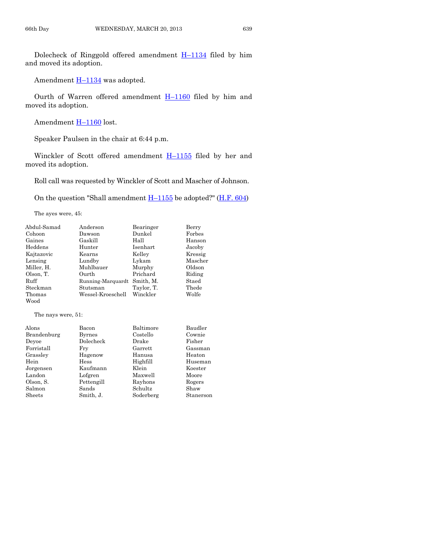Dolecheck of Ringgold offered amendment  $H-1134$  $H-1134$  filed by him and moved its adoption.

Amendment  $\underline{H-1134}$  $\underline{H-1134}$  $\underline{H-1134}$  was adopted.

Ourth of Warren offered amendment  $H-1160$  $H-1160$  filed by him and moved its adoption.

Amendment H-[1160](http://coolice.legis.state.ia.us/Cool-ICE/default.asp?Category=billinfo&Service=Billbook&frame=1&GA=85&hbill=H1160) lost.

Speaker Paulsen in the chair at 6:44 p.m.

Winckler of Scott offered amendment H-[1155](http://coolice.legis.state.ia.us/Cool-ICE/default.asp?Category=billinfo&Service=Billbook&frame=1&GA=85&hbill=H1155) filed by her and moved its adoption.

Roll call was requested by Winckler of Scott and Mascher of Johnson.

On the question "Shall amendment  $H-1155$  $H-1155$  be adopted?" [\(H.F. 604\)](http://coolice.legis.state.ia.us/Cool-ICE/default.asp?Category=billinfo&Service=Billbook&frame=1&GA=85&hbill=HF604)

The ayes were, 45:

| Abdul-Samad | Anderson          | Bearinger  | Berry   |
|-------------|-------------------|------------|---------|
| Cohoon      | Dawson            | Dunkel     | Forbes  |
| Gaines      | Gaskill           | Hall       | Hanson  |
| Heddens     | Hunter            | Isenhart   | Jacoby  |
| Kajtazovic  | Kearns            | Kelley     | Kressig |
| Lensing     | Lundby            | Lykam      | Mascher |
| Miller, H.  | Muhlbauer         | Murphy     | Oldson  |
| Olson, T.   | Ourth             | Prichard   | Riding  |
| Ruff        | Running-Marquardt | Smith. M.  | Staed   |
| Steckman    | Stutsman          | Taylor, T. | Thede   |
| Thomas      | Wessel-Kroeschell | Winckler   | Wolfe   |
| Wood        |                   |            |         |

The nays were, 51:

| Alons       | Bacon         | Baltimore | Baudler   |
|-------------|---------------|-----------|-----------|
| Brandenburg | <b>Byrnes</b> | Costello  | Cownie    |
| Devoe       | Dolecheck     | Drake     | Fisher    |
| Forristall  | Fry           | Garrett   | Gassman   |
| Grassley    | Hagenow       | Hanusa    | Heaton    |
| Hein        | Hess          | Highfill  | Huseman   |
| Jorgensen   | Kaufmann      | Klein     | Koester   |
| Landon      | Lofgren       | Maxwell   | Moore     |
| Olson, S.   | Pettengill    | Rayhons   | Rogers    |
| Salmon      | Sands         | Schultz   | Shaw      |
| Sheets      | Smith, J.     | Soderberg | Stanerson |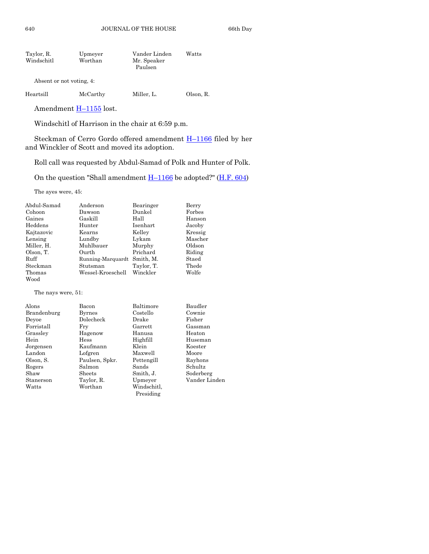| Taylor, R. | Upmeyer | Vander Linden | Watts |
|------------|---------|---------------|-------|
| Windschitl | Worthan | Mr. Speaker   |       |
|            |         | Paulsen       |       |

Absent or not voting, 4:

| Heartsill | McCarthy | Miller. L. | Olson, R. |
|-----------|----------|------------|-----------|
|           |          |            |           |

Amendment **H**-[1155](http://coolice.legis.state.ia.us/Cool-ICE/default.asp?Category=billinfo&Service=Billbook&frame=1&GA=85&hbill=H1155) lost.

Windschitl of Harrison in the chair at 6:59 p.m.

Steckman of Cerro Gordo offered amendment H–[1166](http://coolice.legis.state.ia.us/Cool-ICE/default.asp?Category=billinfo&Service=Billbook&frame=1&GA=85&hbill=H1166) filed by her and Winckler of Scott and moved its adoption.

Roll call was requested by Abdul-Samad of Polk and Hunter of Polk.

On the question "Shall amendment  $H-1166$  $H-1166$  be adopted?" ( $H.F. 604$ )

The ayes were, 45:

| Abdul-Samad | Anderson          | Bearinger  | Berry   |
|-------------|-------------------|------------|---------|
| Cohoon      | Dawson            | Dunkel     | Forbes  |
| Gaines      | Gaskill           | Hall       | Hanson  |
| Heddens     | Hunter            | Isenhart   | Jacoby  |
| Kajtazovic  | Kearns            | Kelley     | Kressig |
| Lensing     | Lundby            | Lykam      | Mascher |
| Miller, H.  | Muhlbauer         | Murphy     | Oldson  |
| Olson, T.   | Ourth             | Prichard   | Riding  |
| Ruff        | Running-Marquardt | Smith, M.  | Staed   |
| Steckman    | Stutsman          | Taylor, T. | Thede   |
| Thomas      | Wessel-Kroeschell | Winckler   | Wolfe   |
| Wood        |                   |            |         |

The nays were, 51:

| Alons       | Bacon          | Baltimore      | Baudler       |
|-------------|----------------|----------------|---------------|
| Brandenburg | <b>Byrnes</b>  | Costello       | Cownie        |
| Devoe       | Dolecheck      | Drake          | Fisher        |
| Forristall  | Frv            | $\rm{Garrett}$ | Gassman       |
| Grassley    | Hagenow        | Hanusa         | Heaton        |
| Hein        | <b>Hess</b>    | Highfill       | Huseman       |
| Jorgensen   | Kaufmann       | Klein          | Koester       |
| Landon      | Lofgren        | Maxwell        | Moore         |
| Olson, S.   | Paulsen, Spkr. | Pettengill     | Rayhons       |
| Rogers      | Salmon         | Sands          | Schultz       |
| Shaw        | Sheets         | Smith, J.      | Soderberg     |
| Stanerson   | Taylor, R.     | Upmeyer        | Vander Linden |
| Watts       | Worthan        | Windschitl,    |               |
|             |                | Presiding      |               |
|             |                |                |               |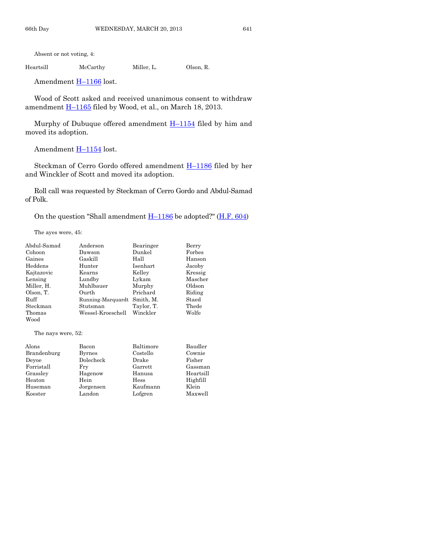Absent or not voting, 4:

Heartsill McCarthy Miller, L. Olson, R.

Amendment H–[1166](http://coolice.legis.state.ia.us/Cool-ICE/default.asp?Category=billinfo&Service=Billbook&frame=1&GA=85&hbill=H1166) lost.

Wood of Scott asked and received unanimous consent to withdraw amendment  $\underline{H-1165}$  $\underline{H-1165}$  $\underline{H-1165}$  filed by Wood, et al., on March 18, 2013.

Murphy of Dubuque offered amendment  $H-1154$  $H-1154$  filed by him and moved its adoption.

Amendment  $H-1154$  $H-1154$  lost.

Steckman of Cerro Gordo offered amendment  $H-1186$  $H-1186$  filed by her and Winckler of Scott and moved its adoption.

Roll call was requested by Steckman of Cerro Gordo and Abdul-Samad of Polk.

On the question "Shall amendment  $H-1186$  $H-1186$  be adopted?" [\(H.F. 604\)](http://coolice.legis.state.ia.us/Cool-ICE/default.asp?Category=billinfo&Service=Billbook&frame=1&GA=85&hbill=HF604)

The ayes were, 45:

| Abdul-Samad | Anderson          | Bearinger  | Berry   |
|-------------|-------------------|------------|---------|
| Cohoon      | Dawson            | Dunkel     | Forbes  |
| Gaines      | Gaskill           | Hall       | Hanson  |
| Heddens     | Hunter            | Isenhart   | Jacoby  |
| Kajtazovic  | Kearns            | Kelley     | Kressig |
| Lensing     | Lundby            | Lykam      | Mascher |
| Miller, H.  | Muhlbauer         | Murphy     | Oldson  |
| Olson, T.   | Ourth             | Prichard   | Riding  |
| Ruff        | Running-Marquardt | Smith. M.  | Staed   |
| Steckman    | Stutsman          | Taylor, T. | Thede   |
| Thomas      | Wessel-Kroeschell | Winckler   | Wolfe   |
| Wood        |                   |            |         |

The nays were, 52:

| Alons       | Bacon         | Baltimore   | Baudler   |
|-------------|---------------|-------------|-----------|
| Brandenburg | <b>Byrnes</b> | Costello    | Cownie    |
| Devoe       | Dolecheck     | Drake       | Fisher    |
| Forristall  | Fry           | Garrett     | Gassman   |
| Grassley    | Hagenow       | Hanusa      | Heartsill |
| Heaton      | Hein          | <b>Hess</b> | Highfill  |
| Huseman     | Jorgensen     | Kaufmann    | Klein     |
| Koester     | Landon        | Lofgren     | Maxwell   |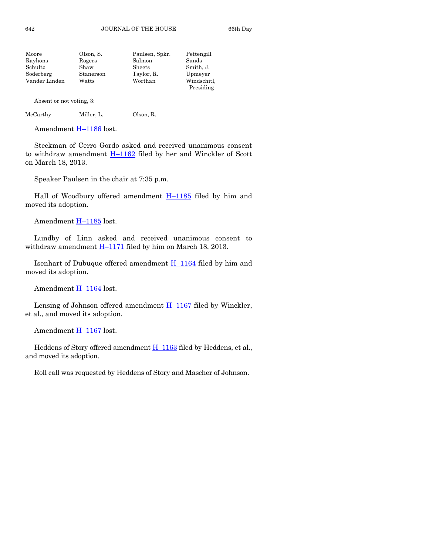| Moore         | Olson, S. | Paulsen, Spkr. | Pettengill  |
|---------------|-----------|----------------|-------------|
| Rayhons       | Rogers    | Salmon         | Sands       |
| Schultz       | Shaw      | Sheets         | Smith, J.   |
| Soderberg     | Stanerson | Taylor, R.     | Upmeyer     |
| Vander Linden | Watts     | Worthan        | Windschitl, |
|               |           |                | Presiding   |

Absent or not voting, 3:

McCarthy Miller, L. Olson, R.

Amendment H–[1186](http://coolice.legis.state.ia.us/Cool-ICE/default.asp?Category=billinfo&Service=Billbook&frame=1&GA=85&hbill=H1186) lost.

Steckman of Cerro Gordo asked and received unanimous consent to withdraw amendment H–[1162](http://coolice.legis.state.ia.us/Cool-ICE/default.asp?Category=billinfo&Service=Billbook&frame=1&GA=85&hbill=H1162) filed by her and Winckler of Scott on March 18, 2013.

Speaker Paulsen in the chair at 7:35 p.m.

Hall of Woodbury offered amendment H-[1185](http://coolice.legis.state.ia.us/Cool-ICE/default.asp?Category=billinfo&Service=Billbook&frame=1&GA=85&hbill=H1185) filed by him and moved its adoption.

Amendment **H**–[1185](http://coolice.legis.state.ia.us/Cool-ICE/default.asp?Category=billinfo&Service=Billbook&frame=1&GA=85&hbill=H1185) lost.

Lundby of Linn asked and received unanimous consent to withdraw amendment  $\underline{H-1171}$  $\underline{H-1171}$  $\underline{H-1171}$  filed by him on March 18, 2013.

Isenhart of Dubuque offered amendment  $H-1164$  $H-1164$  filed by him and moved its adoption.

Amendment  $H-1164$  $H-1164$  lost.

Lensing of Johnson offered amendment  $H-1167$  $H-1167$  filed by Winckler, et al., and moved its adoption.

Amendment H-[1167](http://coolice.legis.state.ia.us/Cool-ICE/default.asp?Category=billinfo&Service=Billbook&frame=1&GA=85&hbill=H1167) lost.

Heddens of Story offered amendment  $H-1163$  $H-1163$  filed by Heddens, et al., and moved its adoption.

Roll call was requested by Heddens of Story and Mascher of Johnson.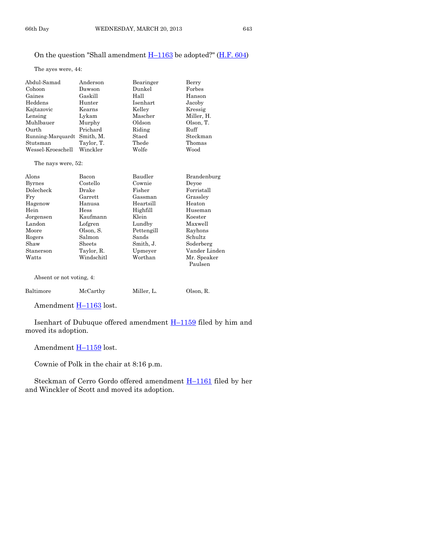#### On the question "Shall amendment  $H-1163$  $H-1163$  be adopted?" ( $H.F. 604$ )

The ayes were, 44:

| Abdul-Samad              | Anderson   | Bearinger  | Berry                  |
|--------------------------|------------|------------|------------------------|
| Cohoon                   | Dawson     | Dunkel     | Forbes                 |
| Gaines                   | Gaskill    | Hall       | Hanson                 |
| Heddens                  | Hunter     | Isenhart   | Jacoby                 |
| Kajtazovic               | Kearns     | Kelley     | Kressig                |
| Lensing                  | Lykam      | Mascher    | Miller, H.             |
| Muhlbauer                | Murphy     | Oldson     | Olson, T.              |
| Ourth                    | Prichard   | Riding     | Ruff                   |
| Running-Marquardt        | Smith, M.  | Staed      | Steckman               |
| Stutsman                 | Taylor, T. | Thede      | Thomas                 |
| Wessel-Kroeschell        | Winckler   | Wolfe      | Wood                   |
| The nays were, 52:       |            |            |                        |
| Alons                    | Bacon      | Baudler    | Brandenburg            |
| <b>Byrnes</b>            | Costello   | Cownie     | Devoe                  |
| Dolecheck                | Drake      | Fisher     | Forristall             |
| Fry                      | Garrett    | Gassman    | Grassley               |
| Hagenow                  | Hanusa     | Heartsill  | Heaton                 |
| Hein                     | Hess       | Highfill   | Huseman                |
| Jorgensen                | Kaufmann   | Klein      | Koester                |
| Landon                   | Lofgren    | Lundby     | Maxwell                |
| Moore                    | Olson, S.  | Pettengill | Rayhons                |
| Rogers                   | Salmon     | Sands      | Schultz                |
| Shaw                     | Sheets     | Smith, J.  | Soderberg              |
| Stanerson                | Taylor, R. | Upmeyer    | Vander Linden          |
| Watts                    | Windschitl | Worthan    | Mr. Speaker<br>Paulsen |
| Absent or not voting, 4: |            |            |                        |
| Baltimore                | McCarthy   | Miller, L. | Olson, R.              |

Amendment **H-[1163](http://coolice.legis.state.ia.us/Cool-ICE/default.asp?Category=billinfo&Service=Billbook&frame=1&GA=85&hbill=H1163)** lost.

Isenhart of Dubuque offered amendment H–[1159](http://coolice.legis.state.ia.us/Cool-ICE/default.asp?Category=billinfo&Service=Billbook&frame=1&GA=85&hbill=H1159) filed by him and moved its adoption.

Amendment H-[1159](http://coolice.legis.state.ia.us/Cool-ICE/default.asp?Category=billinfo&Service=Billbook&frame=1&GA=85&hbill=H1159) lost.

Cownie of Polk in the chair at 8:16 p.m.

Steckman of Cerro Gordo offered amendment H–[1161](http://coolice.legis.state.ia.us/Cool-ICE/default.asp?Category=billinfo&Service=Billbook&frame=1&GA=85&hbill=H1161) filed by her and Winckler of Scott and moved its adoption.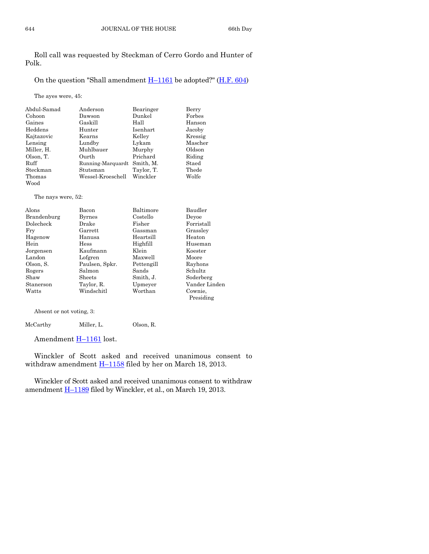Roll call was requested by Steckman of Cerro Gordo and Hunter of Polk.

#### On the question "Shall amendment  $H-1161$  $H-1161$  be adopted?" ( $H.F. 604$ )

The ayes were, 45:

| Abdul-Samad | Anderson          | Bearinger  | Berry   |
|-------------|-------------------|------------|---------|
| Cohoon      | Dawson            | Dunkel     | Forbes  |
| Gaines      | Gaskill           | Hall       | Hanson  |
| Heddens     | Hunter            | Isenhart   | Jacoby  |
| Kajtazovic  | Kearns            | Kelley     | Kressig |
| Lensing     | Lundby            | Lykam      | Mascher |
| Miller, H.  | Muhlbauer         | Murphy     | Oldson  |
| Olson, T.   | Ourth             | Prichard   | Riding  |
| Ruff        | Running-Marquardt | Smith. M.  | Staed   |
| Steckman    | Stutsman          | Taylor, T. | Thede   |
| Thomas      | Wessel-Kroeschell | Winckler   | Wolfe   |
| Wood        |                   |            |         |

The nays were, 52:

| Alons       | Bacon          | Baltimore  | Baudler       |
|-------------|----------------|------------|---------------|
| Brandenburg | <b>Byrnes</b>  | Costello   | Devoe         |
| Dolecheck   | Drake          | Fisher     | Forristall    |
| Fry         | Garrett        | Gassman    | Grassley      |
| Hagenow     | Hanusa         | Heartsill  | Heaton        |
| Hein        | Hess           | Highfill   | Huseman       |
| Jorgensen   | Kaufmann       | Klein      | Koester       |
| Landon      | Lofgren        | Maxwell    | Moore         |
| Olson, S.   | Paulsen, Spkr. | Pettengill | Rayhons       |
| Rogers      | Salmon         | Sands      | Schultz       |
| Shaw        | <b>Sheets</b>  | Smith, J.  | Soderberg     |
| Stanerson   | Taylor, R.     | Upmeyer    | Vander Linden |
| Watts       | Windschitl     | Worthan    | Cownie.       |
|             |                |            | Presiding     |

Absent or not voting, 3:

McCarthy Miller, L. Olson, R.

Amendment **H**-[1161](http://coolice.legis.state.ia.us/Cool-ICE/default.asp?Category=billinfo&Service=Billbook&frame=1&GA=85&hbill=H1161) lost.

Winckler of Scott asked and received unanimous consent to withdraw amendment  $\underline{H-1158}$  $\underline{H-1158}$  $\underline{H-1158}$  filed by her on March 18, 2013.

Winckler of Scott asked and received unanimous consent to withdraw amendment  $H-1189$  $H-1189$  filed by Winckler, et al., on March 19, 2013.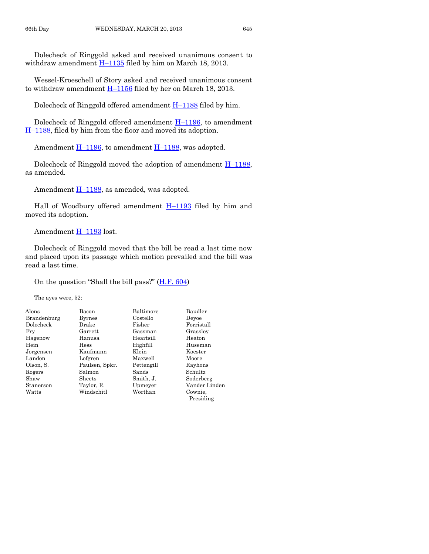Dolecheck of Ringgold asked and received unanimous consent to withdraw amendment  $H-1135$  $H-1135$  filed by him on March 18, 2013.

Wessel-Kroeschell of Story asked and received unanimous consent to withdraw amendment  $H-1156$  $H-1156$  filed by her on March 18, 2013.

Dolecheck of Ringgold offered amendment H–[1188](http://coolice.legis.state.ia.us/Cool-ICE/default.asp?Category=billinfo&Service=Billbook&frame=1&GA=85&hbill=H1188) filed by him.

Dolecheck of Ringgold offered amendment  $H-1196$ , to amendment H–[1188,](http://coolice.legis.state.ia.us/Cool-ICE/default.asp?Category=billinfo&Service=Billbook&frame=1&GA=85&hbill=H1188) filed by him from the floor and moved its adoption.

Amendment H–[1196,](http://coolice.legis.state.ia.us/Cool-ICE/default.asp?Category=billinfo&Service=Billbook&frame=1&GA=85&hbill=H1196) to amendment H–[1188,](http://coolice.legis.state.ia.us/Cool-ICE/default.asp?Category=billinfo&Service=Billbook&frame=1&GA=85&hbill=H1188) was adopted.

Dolecheck of Ringgold moved the adoption of amendment  $H-1188$ , as amended.

Amendment H–[1188,](http://coolice.legis.state.ia.us/Cool-ICE/default.asp?Category=billinfo&Service=Billbook&frame=1&GA=85&hbill=H1188) as amended, was adopted.

Hall of Woodbury offered amendment  $H-1193$  $H-1193$  filed by him and moved its adoption.

Amendment H-[1193](http://coolice.legis.state.ia.us/Cool-ICE/default.asp?Category=billinfo&Service=Billbook&frame=1&GA=85&hbill=H1193) lost.

Dolecheck of Ringgold moved that the bill be read a last time now and placed upon its passage which motion prevailed and the bill was read a last time.

On the question "Shall the bill pass?" ([H.F. 604\)](http://coolice.legis.state.ia.us/Cool-ICE/default.asp?Category=billinfo&Service=Billbook&frame=1&GA=85&hbill=HF604)

The ayes were, 52:

| Alons       | Bacon          | Baltimore  | Baudler       |
|-------------|----------------|------------|---------------|
| Brandenburg | <b>Byrnes</b>  | Costello   | Devoe         |
| Dolecheck   | Drake          | Fisher     | Forristall    |
| Fry         | Garrett        | Gassman    | Grassley      |
| Hagenow     | Hanusa         | Heartsill  | Heaton        |
| Hein        | Hess           | Highfill   | Huseman       |
| Jorgensen   | Kaufmann       | Klein      | Koester       |
| Landon      | Lofgren        | Maxwell    | Moore         |
| Olson, S.   | Paulsen, Spkr. | Pettengill | Rayhons       |
| Rogers      | Salmon         | Sands      | Schultz       |
| Shaw        | Sheets         | Smith, J.  | Soderberg     |
| Stanerson   | Taylor, R.     | Upmeyer    | Vander Linden |
| Watts       | Windschitl     | Worthan    | Cownie.       |
|             |                |            | Presiding     |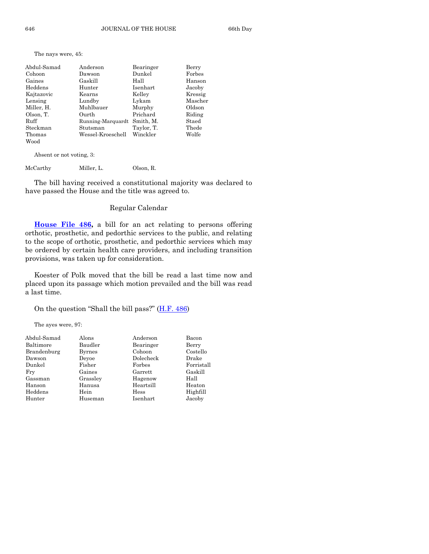The nays were, 45:

| Abdul-Samad | Anderson          | Bearinger  | Berry   |
|-------------|-------------------|------------|---------|
| Cohoon      | Dawson            | Dunkel     | Forbes  |
| Gaines      | Gaskill           | Hall       | Hanson  |
| Heddens     | Hunter            | Isenhart   | Jacoby  |
| Kajtazovic  | Kearns            | Kelley     | Kressig |
| Lensing     | Lundby            | Lykam      | Mascher |
| Miller, H.  | Muhlbauer         | Murphy     | Oldson  |
| Olson, T.   | Ourth             | Prichard   | Riding  |
| Ruff        | Running-Marquardt | Smith, M.  | Staed   |
| Steckman    | Stutsman          | Taylor, T. | Thede   |
| Thomas      | Wessel-Kroeschell | Winckler   | Wolfe   |
| Wood        |                   |            |         |

Absent or not voting, 3:

McCarthy Miller, L. Olson, R.

The bill having received a constitutional majority was declared to have passed the House and the title was agreed to.

#### Regular Calendar

**[House File 486,](http://coolice.legis.state.ia.us/Cool-ICE/default.asp?Category=billinfo&Service=Billbook&frame=1&GA=85&hbill=HF486)** a bill for an act relating to persons offering orthotic, prosthetic, and pedorthic services to the public, and relating to the scope of orthotic, prosthetic, and pedorthic services which may be ordered by certain health care providers, and including transition provisions, was taken up for consideration.

Koester of Polk moved that the bill be read a last time now and placed upon its passage which motion prevailed and the bill was read a last time.

On the question "Shall the bill pass?"  $(H.F. 486)$  $(H.F. 486)$ 

The ayes were, 97:

| Abdul-Samad | Alons         | Anderson  | Bacon      |
|-------------|---------------|-----------|------------|
| Baltimore   | Baudler       | Bearinger | Berry      |
| Brandenburg | <b>Byrnes</b> | Cohoon    | Costello   |
| Dawson      | Devoe         | Dolecheck | Drake      |
| Dunkel      | Fisher        | Forbes    | Forristall |
| Fry         | Gaines        | Garrett   | Gaskill    |
| Gassman     | Grassley      | Hagenow   | Hall       |
| Hanson      | Hanusa        | Heartsill | Heaton     |
| Heddens     | Hein          | Hess      | Highfill   |
| Hunter      | Huseman       | Isenhart  | Jacoby     |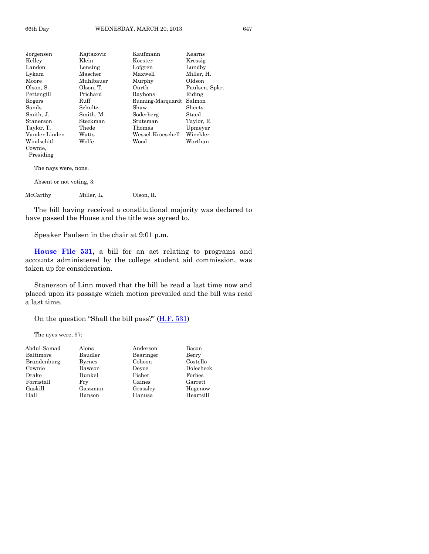| Jorgensen                | Kajtazovic | Kaufmann          | Kearns         |  |
|--------------------------|------------|-------------------|----------------|--|
| Kellev                   | Klein      | Koester           | Kressig        |  |
| Landon                   | Lensing    | Lofgren           | Lundby         |  |
| Lykam                    | Mascher    | Maxwell           | Miller, H.     |  |
| Moore                    | Muhlbauer  | Murphy            | Oldson         |  |
| Olson, S.                | Olson, T.  | Ourth             | Paulsen, Spkr. |  |
| Pettengill               | Prichard   | Rayhons           | Riding         |  |
| Rogers                   | Ruff       | Running-Marquardt | Salmon         |  |
| Sands                    | Schultz    | Shaw              | Sheets         |  |
| Smith, J.                | Smith, M.  | Soderberg         | Staed          |  |
| Stanerson                | Steckman   | Stutsman          | Taylor, R.     |  |
| Taylor, T.               | Thede      | Thomas            | Upmeyer        |  |
| Vander Linden            | Watts      | Wessel-Kroeschell | Winckler       |  |
| Windschitl               | Wolfe      | Wood              | Worthan        |  |
| Cownie.                  |            |                   |                |  |
| Presiding                |            |                   |                |  |
| The nays were, none.     |            |                   |                |  |
| Absent or not voting, 3: |            |                   |                |  |

McCarthy Miller, L. Olson, R.

The bill having received a constitutional majority was declared to have passed the House and the title was agreed to.

Speaker Paulsen in the chair at 9:01 p.m.

**[House File 531,](http://coolice.legis.state.ia.us/Cool-ICE/default.asp?Category=billinfo&Service=Billbook&frame=1&GA=85&hbill=HF531)** a bill for an act relating to programs and accounts administered by the college student aid commission, was taken up for consideration.

Stanerson of Linn moved that the bill be read a last time now and placed upon its passage which motion prevailed and the bill was read a last time.

On the question "Shall the bill pass?" ([H.F. 531\)](http://coolice.legis.state.ia.us/Cool-ICE/default.asp?Category=billinfo&Service=Billbook&frame=1&GA=85&hbill=HF531)

The ayes were, 97:

| Abdul-Samad | Alons         | Anderson  | Bacon     |
|-------------|---------------|-----------|-----------|
| Baltimore   | Baudler       | Bearinger | Berry     |
| Brandenburg | <b>Byrnes</b> | Cohoon    | Costello  |
| Cownie      | Dawson        | Devoe     | Dolecheck |
| Drake       | Dunkel        | Fisher    | Forbes    |
| Forristall  | Fry           | Gaines    | Garrett   |
| Gaskill     | Gassman       | Grassley  | Hagenow   |
| Hall        | Hanson        | Hanusa    | Heartsill |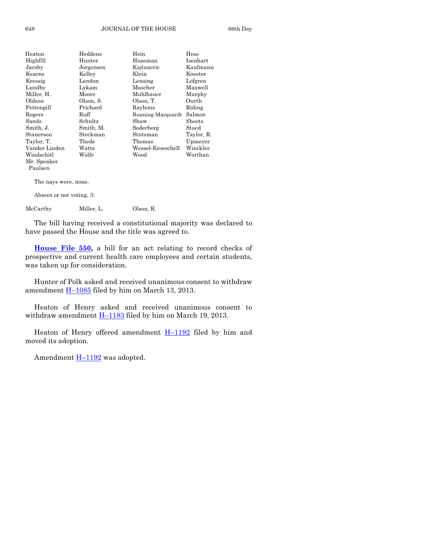| Heaton        | $\rm Heddens$ | Hein              | Hess       |
|---------------|---------------|-------------------|------------|
| Highfill      | Hunter        | Huseman           | Isenhart   |
| Jacoby        | Jorgensen     | Kajtazovic        | Kaufmann   |
| Kearns        | Kelley        | Klein             | Koester    |
| Kressig       | Landon        | Lensing           | Lofgren    |
| Lundby        | Lykam         | Mascher           | Maxwell    |
| Miller, H.    | Moore         | Muhlbauer         | Murphy     |
| Oldson        | Olson, S.     | Olson, T.         | Ourth      |
| Pettengill    | Prichard      | Rayhons           | Riding     |
| Rogers        | Ruff          | Running-Marquardt | Salmon     |
| Sands         | Schultz       | Shaw              | Sheets     |
| Smith, J.     | Smith, M.     | Soderberg         | Staed      |
| Stanerson     | Steckman      | Stutsman          | Taylor, R. |
| Taylor, T.    | Thede         | Thomas            | Upmeyer    |
| Vander Linden | Watts         | Wessel-Kroeschell | Winckler   |
| Windschitl    | Wolfe         | Wood              | Worthan    |
| Mr. Speaker   |               |                   |            |
| Paulsen       |               |                   |            |
|               |               |                   |            |

The nays were, none.

Absent or not voting, 3:

McCarthy Miller, L. Olson, R.

The bill having received a constitutional majority was declared to have passed the House and the title was agreed to.

**[House File 550,](http://coolice.legis.state.ia.us/Cool-ICE/default.asp?Category=billinfo&Service=Billbook&frame=1&GA=85&hbill=HF550)** a bill for an act relating to record checks of prospective and current health care employees and certain students, was taken up for consideration.

Hunter of Polk asked and received unanimous consent to withdraw amendment  $\underline{H-1085}$  $\underline{H-1085}$  $\underline{H-1085}$  filed by him on March 13, 2013.

Heaton of Henry asked and received unanimous consent to withdraw amendment  $H-1183$  $H-1183$  filed by him on March 19, 2013.

Heaton of Henry offered amendment  $H-1192$  $H-1192$  filed by him and moved its adoption.

Amendment  $H-1192$  $H-1192$  was adopted.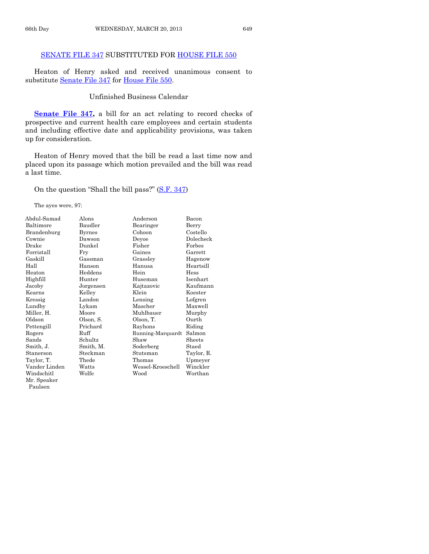#### [SENATE FILE 347](http://coolice.legis.state.ia.us/Cool-ICE/default.asp?Category=billinfo&Service=Billbook&frame=1&GA=85&hbill=SF347) SUBSTITUTED FOR [HOUSE FILE 550](http://coolice.legis.state.ia.us/Cool-ICE/default.asp?Category=billinfo&Service=Billbook&frame=1&GA=85&hbill=HF550)

Heaton of Henry asked and received unanimous consent to substitute [Senate File 347](http://coolice.legis.state.ia.us/Cool-ICE/default.asp?Category=billinfo&Service=Billbook&frame=1&GA=85&hbill=SF347) for [House File 550.](http://coolice.legis.state.ia.us/Cool-ICE/default.asp?Category=billinfo&Service=Billbook&frame=1&GA=85&hbill=HF550)

#### Unfinished Business Calendar

**[Senate File 347,](http://coolice.legis.state.ia.us/Cool-ICE/default.asp?Category=billinfo&Service=Billbook&frame=1&GA=85&hbill=SF347)** a bill for an act relating to record checks of prospective and current health care employees and certain students and including effective date and applicability provisions, was taken up for consideration.

Heaton of Henry moved that the bill be read a last time now and placed upon its passage which motion prevailed and the bill was read a last time.

On the question "Shall the bill pass?" ([S.F. 347\)](http://coolice.legis.state.ia.us/Cool-ICE/default.asp?Category=billinfo&Service=Billbook&frame=1&GA=85&hbill=SF347)

The ayes were, 97:

| Abdul-Samad   | Alons         | Anderson          | Bacon           |
|---------------|---------------|-------------------|-----------------|
| Baltimore     | Baudler       | Bearinger         | Berry           |
| Brandenburg   | <b>Byrnes</b> | Cohoon            | Costello        |
| Cownie        | Dawson        | Deyoe             | Dolecheck       |
| Drake         | Dunkel        | Fisher            | Forbes          |
| Forristall    | Fry           | Gaines            | Garrett         |
| Gaskill       | Gassman       | Grassley          | Hagenow         |
| Hall          | Hanson        | Hanusa            | Heartsill       |
| Heaton        | Heddens       | Hein              | Hess            |
| Highfill      | Hunter        | Huseman           | <b>Isenhart</b> |
| Jacoby        | Jorgensen     | Kajtazovic        | Kaufmann        |
| Kearns        | Kelley        | Klein             | Koester         |
| Kressig       | Landon        | Lensing           | Lofgren         |
| Lundby        | Lykam         | Mascher           | Maxwell         |
| Miller, H.    | Moore         | Muhlbauer         | Murphy          |
| Oldson        | Olson, S.     | Olson, T.         | Ourth           |
| Pettengill    | Prichard      | Rayhons           | Riding          |
| Rogers        | Ruff          | Running-Marquardt | Salmon          |
| Sands         | Schultz       | Shaw              | Sheets          |
| Smith, J.     | Smith, M.     | Soderberg         | Staed           |
| Stanerson     | Steckman      | Stutsman          | Taylor, R.      |
| Taylor, T.    | Thede         | Thomas            | Upmeyer         |
| Vander Linden | Watts         | Wessel-Kroeschell | Winckler        |
| Windschitl    | Wolfe         | Wood              | Worthan         |
| Mr. Speaker   |               |                   |                 |
| Paulsen       |               |                   |                 |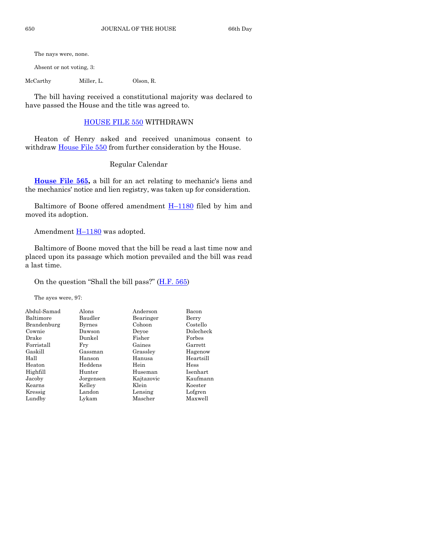The nays were, none.

Absent or not voting, 3:

McCarthy Miller, L. Olson, R.

The bill having received a constitutional majority was declared to have passed the House and the title was agreed to.

#### [HOUSE FILE 550](http://coolice.legis.state.ia.us/Cool-ICE/default.asp?Category=billinfo&Service=Billbook&frame=1&GA=85&hbill=HF550) WITHDRAWN

Heaton of Henry asked and received unanimous consent to withdraw [House File 550](http://coolice.legis.state.ia.us/Cool-ICE/default.asp?Category=billinfo&Service=Billbook&frame=1&GA=85&hbill=HF550) from further consideration by the House.

#### Regular Calendar

**[House File 565,](http://coolice.legis.state.ia.us/Cool-ICE/default.asp?Category=billinfo&Service=Billbook&frame=1&GA=85&hbill=HF565)** a bill for an act relating to mechanic's liens and the mechanics' notice and lien registry, was taken up for consideration.

Baltimore of Boone offered amendment  $H-1180$  $H-1180$  filed by him and moved its adoption.

Amendment  $H-1180$  $H-1180$  was adopted.

Baltimore of Boone moved that the bill be read a last time now and placed upon its passage which motion prevailed and the bill was read a last time.

On the question "Shall the bill pass?" ([H.F. 565\)](http://coolice.legis.state.ia.us/Cool-ICE/default.asp?Category=billinfo&Service=Billbook&frame=1&GA=85&hbill=HF565)

The ayes were, 97:

| Alons         | Anderson   | Bacon     |
|---------------|------------|-----------|
| Baudler       | Bearinger  | Berry     |
| <b>Byrnes</b> | Cohoon     | Costello  |
| Dawson        | Devoe      | Dolecheck |
| Dunkel        | Fisher     | Forbes    |
| Fry           | Gaines     | Garrett   |
| Gassman       | Grassley   | Hagenow   |
| Hanson        | Hanusa     | Heartsill |
| Heddens       | Hein       | Hess      |
| Hunter        | Huseman    | Isenhart  |
| Jorgensen     | Kajtazovic | Kaufmann  |
| Kelley        | Klein      | Koester   |
| Landon        | Lensing    | Lofgren   |
| Lykam         | Mascher    | Maxwell   |
|               |            |           |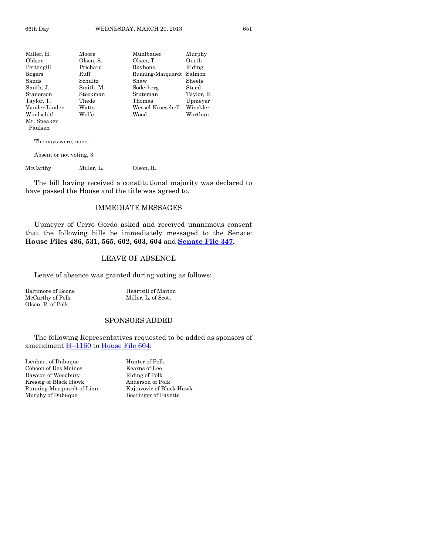| Miller, H.    | Moore     | Muhlbauer         | Murphy     |
|---------------|-----------|-------------------|------------|
| Oldson        | Olson, S. | Olson, T.         | Ourth      |
| Pettengill    | Prichard  | Rayhons           | Riding     |
| Rogers        | Ruff      | Running-Marquardt | Salmon     |
| Sands         | Schultz   | Shaw              | Sheets     |
| Smith, J.     | Smith, M. | Soderberg         | Staed      |
| Stanerson     | Steckman  | Stutsman          | Taylor, R. |
| Taylor, T.    | Thede     | Thomas            | Upmeyer    |
| Vander Linden | Watts     | Wessel-Kroeschell | Winckler   |
| Windschitl    | Wolfe     | Wood              | Worthan    |
| Mr. Speaker   |           |                   |            |
| Paulsen       |           |                   |            |

The nays were, none.

Absent or not voting, 3:

McCarthy Miller, L. Olson, R.

The bill having received a constitutional majority was declared to have passed the House and the title was agreed to.

#### IMMEDIATE MESSAGES

Upmeyer of Cerro Gordo asked and received unanimous consent that the following bills be immediately messaged to the Senate: **House Files 486, 531, 565, 602, 603, 604** and **[Senate File 347.](http://coolice.legis.state.ia.us/Cool-ICE/default.asp?Category=billinfo&Service=Billbook&frame=1&GA=85&hbill=SF347)**

#### LEAVE OF ABSENCE

Leave of absence was granted during voting as follows:

McCarthy of Polk Miller, L. of Scott Olson, R. of Polk

Baltimore of Boone Heartsill of Marion

#### SPONSORS ADDED

The following Representatives requested to be added as sponsors of amendment **H**-[1160](http://coolice.legis.state.ia.us/Cool-ICE/default.asp?Category=billinfo&Service=Billbook&frame=1&GA=85&hbill=H1160) to [House File 604:](http://coolice.legis.state.ia.us/Cool-ICE/default.asp?Category=billinfo&Service=Billbook&frame=1&GA=85&hbill=HF604)

Isenhart of Dubuque Hunter of Polk Cohoon of Des Moines<br>
Dawson of Woodbury<br>
Riding of Polk<br>
Riding of Polk Dawson of Woodbury Kressig of Black Hawk Anderson of Polk<br>Running-Marquardt of Linn Kajtazovic of Black Hawk Running-Marquardt of Linn Murphy of Dubuque Bearinger of Fayette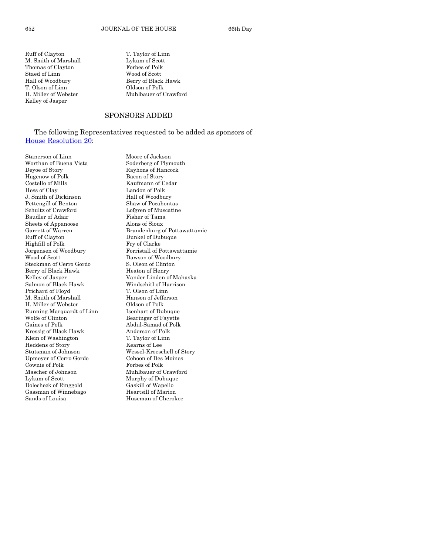M. Smith of Marshall Lykam of Scott<br>Thomas of Clavton Forbes of Polk Thomas of Clayton Staed of Linn Wood of Scott T. Olson of Linn Oldson of Polk Kelley of Jasper

Ruff of Clayton T. Taylor of Linn Hall of Woodbury Berry of Black Hawk H. Miller of Webster Muhlbauer of Crawford

#### SPONSORS ADDED

#### The following Representatives requested to be added as sponsors of [House Resolution 20:](http://coolice.legis.state.ia.us/Cool-ICE/default.asp?Category=billinfo&Service=Billbook&frame=1&GA=85&hbill=HR20)

Worthan of Buena Vista Soderberg of Plymouth Deyoe of Story Rayhons of Hancock Hagenow of Polk Bacon of Story Costello of Mills Kaufmann of Cedar Hess of Clay Landon of Polk J. Smith of Dickinson Hall of Woodbury Pettengill of Benton Shaw of Pocahontas Schultz of Crawford Lofgren of Muscatine<br>Baudler of Adair Fisher of Tama Baudler of Adair Fisher of Tama<br>Sheets of Appanoose Alons of Sioux Sheets of Appanoose<br>Garrett of Warren Ruff of Clayton Dunkel of Dubuque Highfill of Polk Fry of Clarke Steckman of Cerro Gordo S. Olson of Clinton Berry of Black Hawk Heaton of Henry Salmon of Black Hawk Windschitl of Harrison Prichard of Floyd<br>
M. Smith of Marshall<br>
Hanson of Jefferson M. Smith of Marshall H. Miller of Webster Oldson of Polk Running-Marquardt of Linn Isenhart of Dubuque Wolfe of Clinton Bearinger of Fayette Gaines of Polk Abdul-Samad of Polk<br>Kressig of Black Hawk Anderson of Polk Kressig of Black Hawk Anderson of Polk<br>Klein of Washington T. Taylor of Linn Klein of Washington Heddens of Story Kearns of Lee Stutsman of Johnson Wessel-Kroeschell of Story Upmeyer of Cerro Gordo Cohoon of Des Moines Cownie of Polk Forbes of Polk<br>Mascher of Johnson Muhlbauer of ( Lykam of Scott Murphy of Dubuque Dolecheck of Ringgold Gassman of Winnebago Heartsill of Marion Sands of Louisa **Huseman** of Cherokee

Stanerson of Linn Moore of Jackson Brandenburg of Pottawattamie Jorgensen of Woodbury Forristall of Pottawattamie Dawson of Woodbury Kelley of Jasper Vander Linden of Mahaska Muhlbauer of Crawford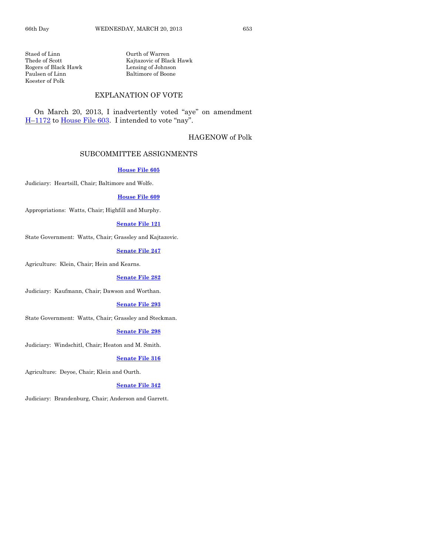Staed of Linn Curth of Warren<br>Thede of Scott Kajtazovic of Bla Rogers of Black Hawk Paulsen of Linn Baltimore of Boone Koester of Polk

Kajtazovic of Black Hawk<br>Lensing of Johnson

#### EXPLANATION OF VOTE

On March 20, 2013, I inadvertently voted "aye" on amendment H–[1172](http://coolice.legis.state.ia.us/Cool-ICE/default.asp?Category=billinfo&Service=Billbook&frame=1&GA=85&hbill=H1172) to [House File 603](http://coolice.legis.state.ia.us/Cool-ICE/default.asp?Category=billinfo&Service=Billbook&frame=1&GA=85&hbill=HF603). I intended to vote "nay".

#### HAGENOW of Polk

#### SUBCOMMITTEE ASSIGNMENTS

#### **[House File 605](http://coolice.legis.state.ia.us/Cool-ICE/default.asp?Category=billinfo&Service=Billbook&frame=1&GA=85&hbill=HF605)**

Judiciary: Heartsill, Chair; Baltimore and Wolfe.

#### **[House File 609](http://coolice.legis.state.ia.us/Cool-ICE/default.asp?Category=billinfo&Service=Billbook&frame=1&GA=85&hbill=HF609)**

Appropriations: Watts, Chair; Highfill and Murphy.

#### **[Senate File 121](http://coolice.legis.state.ia.us/Cool-ICE/default.asp?Category=billinfo&Service=Billbook&frame=1&GA=85&hbill=SF121)**

State Government: Watts, Chair; Grassley and Kajtazovic.

#### **[Senate File 247](http://coolice.legis.state.ia.us/Cool-ICE/default.asp?Category=billinfo&Service=Billbook&frame=1&GA=85&hbill=SF247)**

Agriculture: Klein, Chair; Hein and Kearns.

#### **[Senate File 282](http://coolice.legis.state.ia.us/Cool-ICE/default.asp?Category=billinfo&Service=Billbook&frame=1&GA=85&hbill=SF282)**

Judiciary: Kaufmann, Chair; Dawson and Worthan.

#### **[Senate File 293](http://coolice.legis.state.ia.us/Cool-ICE/default.asp?Category=billinfo&Service=Billbook&frame=1&GA=85&hbill=SF293)**

State Government: Watts, Chair; Grassley and Steckman.

#### **[Senate File 298](http://coolice.legis.state.ia.us/Cool-ICE/default.asp?Category=billinfo&Service=Billbook&frame=1&GA=85&hbill=SF298)**

Judiciary: Windschitl, Chair; Heaton and M. Smith.

#### **[Senate File 316](http://coolice.legis.state.ia.us/Cool-ICE/default.asp?Category=billinfo&Service=Billbook&frame=1&GA=85&hbill=SF316)**

Agriculture: Deyoe, Chair; Klein and Ourth.

#### **[Senate File 342](http://coolice.legis.state.ia.us/Cool-ICE/default.asp?Category=billinfo&Service=Billbook&frame=1&GA=85&hbill=SF342)**

Judiciary: Brandenburg, Chair; Anderson and Garrett.